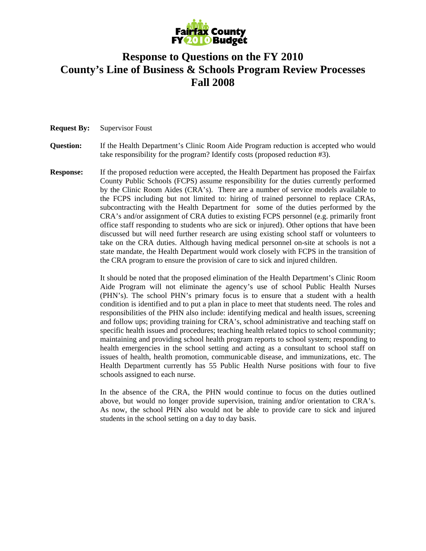

## **Response to Questions on the FY 2010 County's Line of Business & Schools Program Review Processes Fall 2008**

**Request By:** Supervisor Foust

**Question:** If the Health Department's Clinic Room Aide Program reduction is accepted who would take responsibility for the program? Identify costs (proposed reduction #3).

**Response:** If the proposed reduction were accepted, the Health Department has proposed the Fairfax County Public Schools (FCPS) assume responsibility for the duties currently performed by the Clinic Room Aides (CRA's). There are a number of service models available to the FCPS including but not limited to: hiring of trained personnel to replace CRAs, subcontracting with the Health Department for some of the duties performed by the CRA's and/or assignment of CRA duties to existing FCPS personnel (e.g. primarily front office staff responding to students who are sick or injured). Other options that have been discussed but will need further research are using existing school staff or volunteers to take on the CRA duties. Although having medical personnel on-site at schools is not a state mandate, the Health Department would work closely with FCPS in the transition of the CRA program to ensure the provision of care to sick and injured children.

> It should be noted that the proposed elimination of the Health Department's Clinic Room Aide Program will not eliminate the agency's use of school Public Health Nurses (PHN's). The school PHN's primary focus is to ensure that a student with a health condition is identified and to put a plan in place to meet that students need. The roles and responsibilities of the PHN also include: identifying medical and health issues, screening and follow ups; providing training for CRA's, school administrative and teaching staff on specific health issues and procedures; teaching health related topics to school community; maintaining and providing school health program reports to school system; responding to health emergencies in the school setting and acting as a consultant to school staff on issues of health, health promotion, communicable disease, and immunizations, etc. The Health Department currently has 55 Public Health Nurse positions with four to five schools assigned to each nurse.

> In the absence of the CRA, the PHN would continue to focus on the duties outlined above, but would no longer provide supervision, training and/or orientation to CRA's. As now, the school PHN also would not be able to provide care to sick and injured students in the school setting on a day to day basis.